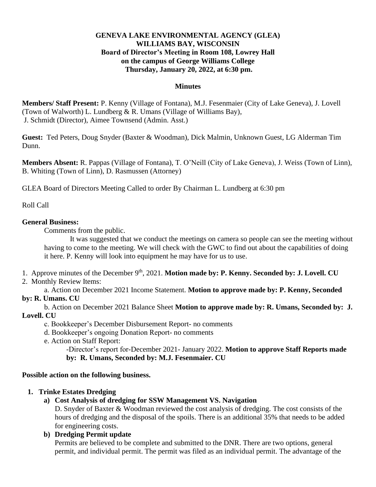### **GENEVA LAKE ENVIRONMENTAL AGENCY (GLEA) WILLIAMS BAY, WISCONSIN Board of Director's Meeting in Room 108, Lowrey Hall on the campus of George Williams College Thursday, January 20, 2022, at 6:30 pm.**

#### **Minutes**

**Members/ Staff Present:** P. Kenny (Village of Fontana), M.J. Fesenmaier (City of Lake Geneva), J. Lovell (Town of Walworth) L. Lundberg & R. Umans (Village of Williams Bay), J. Schmidt (Director), Aimee Townsend (Admin. Asst.)

**Guest:** Ted Peters, Doug Snyder (Baxter & Woodman), Dick Malmin, Unknown Guest, LG Alderman Tim Dunn.

**Members Absent:** R. Pappas (Village of Fontana), T. O'Neill (City of Lake Geneva), J. Weiss (Town of Linn), B. Whiting (Town of Linn), D. Rasmussen (Attorney)

GLEA Board of Directors Meeting Called to order By Chairman L. Lundberg at 6:30 pm

Roll Call

#### **General Business:**

Comments from the public.

It was suggested that we conduct the meetings on camera so people can see the meeting without having to come to the meeting. We will check with the GWC to find out about the capabilities of doing it here. P. Kenny will look into equipment he may have for us to use.

- 1.Approve minutes of the December 9th, 2021. **Motion made by: P. Kenny. Seconded by: J. Lovell. CU**
- 2. Monthly Review Items:

a. Action on December 2021 Income Statement. **Motion to approve made by: P. Kenny, Seconded** 

### **by: R. Umans. CU**

b. Action on December 2021 Balance Sheet **Motion to approve made by: R. Umans, Seconded by: J. Lovell. CU**

- c. Bookkeeper's December Disbursement Report- no comments
- d. Bookkeeper's ongoing Donation Report- no comments
- e. Action on Staff Report:

-Director's report for-December 2021- January 2022. **Motion to approve Staff Reports made by: R. Umans, Seconded by: M.J. Fesenmaier. CU**

### **Possible action on the following business.**

### **1. Trinke Estates Dredging**

# **a) Cost Analysis of dredging for SSW Management VS. Navigation**

D. Snyder of Baxter & Woodman reviewed the cost analysis of dredging. The cost consists of the hours of dredging and the disposal of the spoils. There is an additional 35% that needs to be added for engineering costs.

## **b) Dredging Permit update**

Permits are believed to be complete and submitted to the DNR. There are two options, general permit, and individual permit. The permit was filed as an individual permit. The advantage of the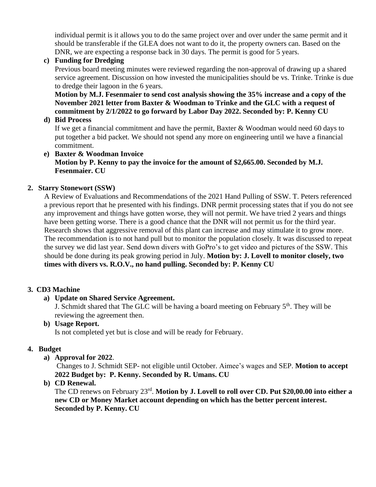individual permit is it allows you to do the same project over and over under the same permit and it should be transferable if the GLEA does not want to do it, the property owners can. Based on the DNR, we are expecting a response back in 30 days. The permit is good for 5 years.

## **c) Funding for Dredging**

Previous board meeting minutes were reviewed regarding the non-approval of drawing up a shared service agreement. Discussion on how invested the municipalities should be vs. Trinke. Trinke is due to dredge their lagoon in the 6 years.

**Motion by M.J. Fesenmaier to send cost analysis showing the 35% increase and a copy of the November 2021 letter from Baxter & Woodman to Trinke and the GLC with a request of commitment by 2/1/2022 to go forward by Labor Day 2022. Seconded by: P. Kenny CU** 

## **d) Bid Process**

If we get a financial commitment and have the permit, Baxter & Woodman would need 60 days to put together a bid packet. We should not spend any more on engineering until we have a financial commitment.

#### **e) Baxter & Woodman Invoice Motion by P. Kenny to pay the invoice for the amount of \$2,665.00. Seconded by M.J. Fesenmaier. CU**

## **2. Starry Stonewort (SSW)**

A Review of Evaluations and Recommendations of the 2021 Hand Pulling of SSW. T. Peters referenced a previous report that he presented with his findings. DNR permit processing states that if you do not see any improvement and things have gotten worse, they will not permit. We have tried 2 years and things have been getting worse. There is a good chance that the DNR will not permit us for the third year. Research shows that aggressive removal of this plant can increase and may stimulate it to grow more. The recommendation is to not hand pull but to monitor the population closely. It was discussed to repeat the survey we did last year. Send down divers with GoPro's to get video and pictures of the SSW. This should be done during its peak growing period in July. **Motion by: J. Lovell to monitor closely, two times with divers vs. R.O.V., no hand pulling. Seconded by: P. Kenny CU**

# **3. CD3 Machine**

# **a) Update on Shared Service Agreement.**

J. Schmidt shared that The GLC will be having a board meeting on February  $5<sup>th</sup>$ . They will be reviewing the agreement then.

# **b) Usage Report.**

Is not completed yet but is close and will be ready for February.

# **4. Budget**

# **a) Approval for 2022**.

Changes to J. Schmidt SEP- not eligible until October. Aimee's wages and SEP. **Motion to accept 2022 Budget by: P. Kenny. Seconded by R. Umans. CU**

**b) CD Renewal.** 

The CD renews on February 23rd . **Motion by J. Lovell to roll over CD. Put \$20,00.00 into either a new CD or Money Market account depending on which has the better percent interest. Seconded by P. Kenny. CU**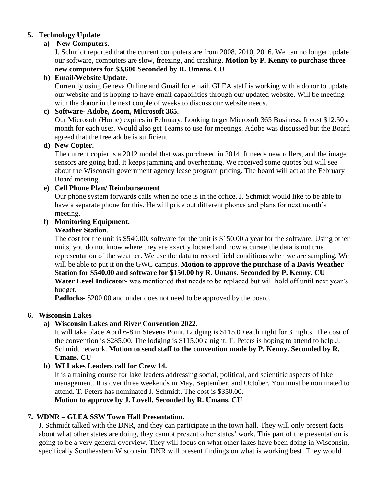## **5. Technology Update**

## **a) New Computers**.

J. Schmidt reported that the current computers are from 2008, 2010, 2016. We can no longer update our software, computers are slow, freezing, and crashing. **Motion by P. Kenny to purchase three new computers for \$3,600 Seconded by R. Umans. CU**

## **b) Email/Website Update.**

Currently using Geneva Online and Gmail for email. GLEA staff is working with a donor to update our website and is hoping to have email capabilities through our updated website. Will be meeting with the donor in the next couple of weeks to discuss our website needs.

## **c) Software- Adobe, Zoom, Microsoft 365.**

Our Microsoft (Home) expires in February. Looking to get Microsoft 365 Business. It cost \$12.50 a month for each user. Would also get Teams to use for meetings. Adobe was discussed but the Board agreed that the free adobe is sufficient.

### **d) New Copier.**

The current copier is a 2012 model that was purchased in 2014. It needs new rollers, and the image sensors are going bad. It keeps jamming and overheating. We received some quotes but will see about the Wisconsin government agency lease program pricing. The board will act at the February Board meeting.

## **e) Cell Phone Plan/ Reimbursement**.

Our phone system forwards calls when no one is in the office. J. Schmidt would like to be able to have a separate phone for this. He will price out different phones and plans for next month's meeting.

### **f) Monitoring Equipment.**

### **Weather Station**.

The cost for the unit is \$540.00, software for the unit is \$150.00 a year for the software. Using other units, you do not know where they are exactly located and how accurate the data is not true representation of the weather. We use the data to record field conditions when we are sampling. We will be able to put it on the GWC campus. **Motion to approve the purchase of a Davis Weather Station for \$540.00 and software for \$150.00 by R. Umans. Seconded by P. Kenny. CU Water Level Indicator**- was mentioned that needs to be replaced but will hold off until next year's budget.

**Padlocks**- \$200.00 and under does not need to be approved by the board.

### **6. Wisconsin Lakes**

### **a) Wisconsin Lakes and River Convention 2022.**

It will take place April 6-8 in Stevens Point. Lodging is \$115.00 each night for 3 nights. The cost of the convention is \$285.00. The lodging is \$115.00 a night. T. Peters is hoping to attend to help J. Schmidt network. **Motion to send staff to the convention made by P. Kenny. Seconded by R. Umans. CU** 

## **b) WI Lakes Leaders call for Crew 14.**

It is a training course for lake leaders addressing social, political, and scientific aspects of lake management. It is over three weekends in May, September, and October. You must be nominated to attend. T. Peters has nominated J. Schmidt. The cost is \$350.00.

**Motion to approve by J. Lovell, Seconded by R. Umans. CU**

# **7. WDNR – GLEA SSW Town Hall Presentation**.

J. Schmidt talked with the DNR, and they can participate in the town hall. They will only present facts about what other states are doing, they cannot present other states' work. This part of the presentation is going to be a very general overview. They will focus on what other lakes have been doing in Wisconsin, specifically Southeastern Wisconsin. DNR will present findings on what is working best. They would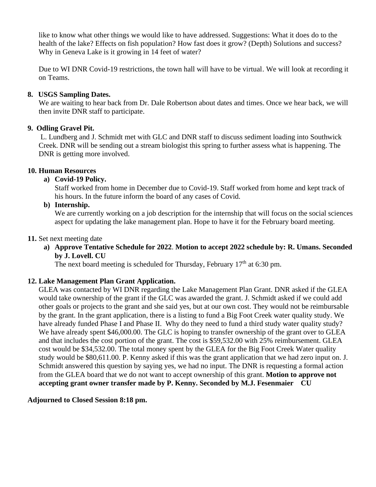like to know what other things we would like to have addressed. Suggestions: What it does do to the health of the lake? Effects on fish population? How fast does it grow? (Depth) Solutions and success? Why in Geneva Lake is it growing in 14 feet of water?

Due to WI DNR Covid-19 restrictions, the town hall will have to be virtual. We will look at recording it on Teams.

## **8. USGS Sampling Dates.**

We are waiting to hear back from Dr. Dale Robertson about dates and times. Once we hear back, we will then invite DNR staff to participate.

## **9. Odling Gravel Pit.**

L. Lundberg and J. Schmidt met with GLC and DNR staff to discuss sediment loading into Southwick Creek. DNR will be sending out a stream biologist this spring to further assess what is happening. The DNR is getting more involved.

## **10. Human Resources**

## **a) Covid-19 Policy.**

Staff worked from home in December due to Covid-19. Staff worked from home and kept track of his hours. In the future inform the board of any cases of Covid.

### **b) Internship.**

We are currently working on a job description for the internship that will focus on the social sciences aspect for updating the lake management plan. Hope to have it for the February board meeting.

#### **11.** Set next meeting date

**a) Approve Tentative Schedule for 2022**. **Motion to accept 2022 schedule by: R. Umans. Seconded by J. Lovell. CU**

The next board meeting is scheduled for Thursday, February  $17<sup>th</sup>$  at 6:30 pm.

### **12. Lake Management Plan Grant Application.**

GLEA was contacted by WI DNR regarding the Lake Management Plan Grant. DNR asked if the GLEA would take ownership of the grant if the GLC was awarded the grant. J. Schmidt asked if we could add other goals or projects to the grant and she said yes, but at our own cost. They would not be reimbursable by the grant. In the grant application, there is a listing to fund a Big Foot Creek water quality study. We have already funded Phase I and Phase II. Why do they need to fund a third study water quality study? We have already spent \$46,000.00. The GLC is hoping to transfer ownership of the grant over to GLEA and that includes the cost portion of the grant. The cost is \$59,532.00 with 25% reimbursement. GLEA cost would be \$34,532.00. The total money spent by the GLEA for the Big Foot Creek Water quality study would be \$80,611.00. P. Kenny asked if this was the grant application that we had zero input on. J. Schmidt answered this question by saying yes, we had no input. The DNR is requesting a formal action from the GLEA board that we do not want to accept ownership of this grant. **Motion to approve not accepting grant owner transfer made by P. Kenny. Seconded by M.J. Fesenmaier CU**

### **Adjourned to Closed Session 8:18 pm.**